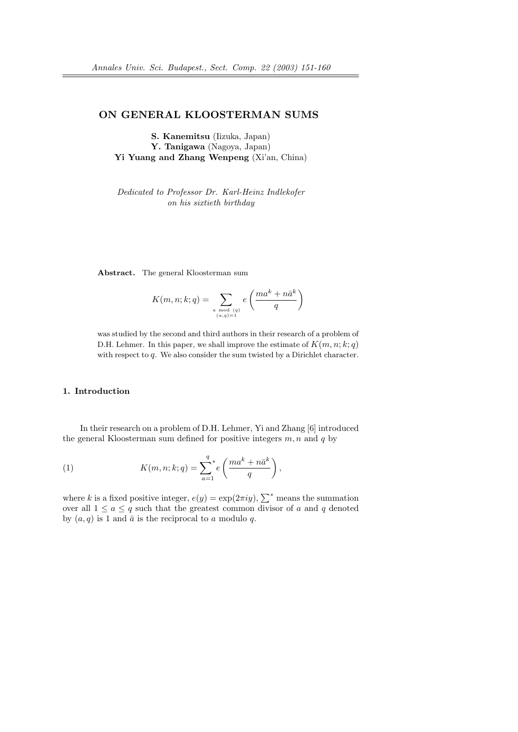# ON GENERAL KLOOSTERMAN SUMS

S. Kanemitsu (Iizuka, Japan) Y. Tanigawa (Nagoya, Japan) Yi Yuang and Zhang Wenpeng (Xi'an, China)

Dedicated to Professor Dr. Karl-Heinz Indlekofer on his sixtieth birthday

Abstract. The general Kloosterman sum

$$
K(m, n; k; q) = \sum_{\substack{a \bmod{(q)}\\(a,q)=1}} e\left(\frac{ma^k + n\bar{a}^k}{q}\right)
$$

was studied by the second and third authors in their research of a problem of D.H. Lehmer. In this paper, we shall improve the estimate of  $K(m, n; k; q)$ with respect to q. We also consider the sum twisted by a Dirichlet character.

## 1. Introduction

In their research on a problem of D.H. Lehmer, Yi and Zhang [6] introduced the general Kloosterman sum defined for positive integers  $m, n$  and  $q$  by

(1) 
$$
K(m, n; k; q) = \sum_{a=1}^{q} e\left(\frac{ma^k + n\bar{a}^k}{q}\right),
$$

where k is a fixed positive integer,  $e(y) = \exp(2\pi i y)$ ,  $\sum^*$  means the summation over all  $1 \le a \le q$  such that the greatest common divisor of a and q denoted by  $(a, q)$  is 1 and  $\bar{a}$  is the reciprocal to a modulo q.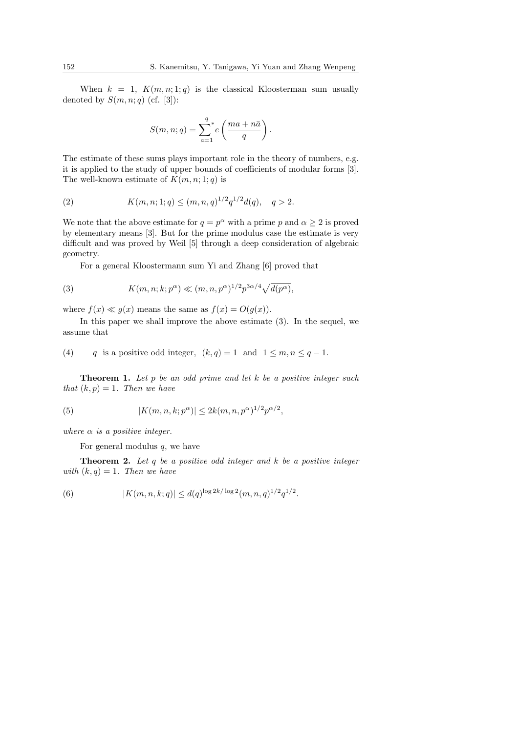When  $k = 1$ ,  $K(m, n; 1; q)$  is the classical Kloosterman sum usually denoted by  $S(m, n; q)$  (cf. [3]):

$$
S(m, n; q) = \sum_{a=1}^{q} e\left(\frac{ma + n\bar{a}}{q}\right).
$$

The estimate of these sums plays important role in the theory of numbers, e.g. it is applied to the study of upper bounds of coefficients of modular forms [3]. The well-known estimate of  $K(m, n; 1; q)$  is

(2) 
$$
K(m, n; 1; q) \le (m, n, q)^{1/2} q^{1/2} d(q), \quad q > 2.
$$

We note that the above estimate for  $q = p^{\alpha}$  with a prime p and  $\alpha \geq 2$  is proved by elementary means [3]. But for the prime modulus case the estimate is very difficult and was proved by Weil [5] through a deep consideration of algebraic geometry.

For a general Kloostermann sum Yi and Zhang [6] proved that

(3) 
$$
K(m, n; k; p^{\alpha}) \ll (m, n, p^{\alpha})^{1/2} p^{3\alpha/4} \sqrt{d(p^{\alpha})},
$$

where  $f(x) \ll g(x)$  means the same as  $f(x) = O(g(x))$ .

In this paper we shall improve the above estimate (3). In the sequel, we assume that

(4) q is a positive odd integer,  $(k, q) = 1$  and  $1 \leq m, n \leq q - 1$ .

**Theorem 1.** Let  $p$  be an odd prime and let  $k$  be a positive integer such that  $(k, p) = 1$ . Then we have

(5) 
$$
|K(m, n, k; p^{\alpha})| \le 2k(m, n, p^{\alpha})^{1/2}p^{\alpha/2},
$$

where  $\alpha$  is a positive integer.

For general modulus  $q$ , we have

**Theorem 2.** Let q be a positive odd integer and  $k$  be a positive integer with  $(k, q) = 1$ . Then we have

(6) 
$$
|K(m, n, k; q)| \leq d(q)^{\log 2k/\log 2} (m, n, q)^{1/2} q^{1/2}.
$$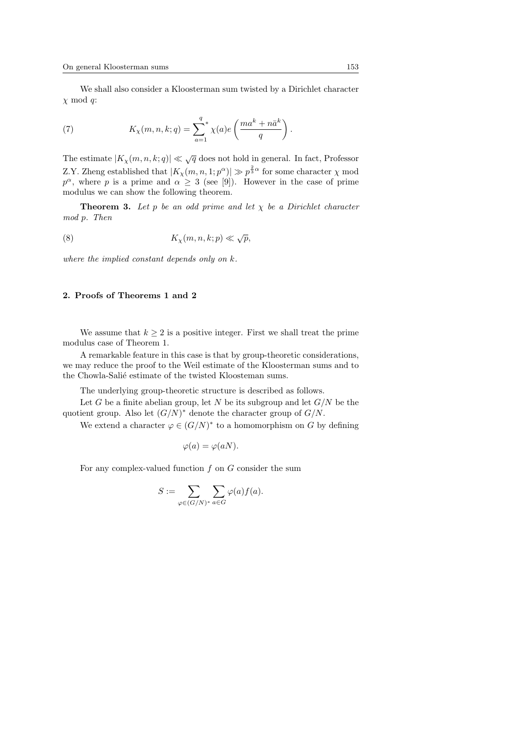We shall also consider a Kloosterman sum twisted by a Dirichlet character  $\chi \mod q$ :

(7) 
$$
K_{\chi}(m,n,k;q) = \sum_{a=1}^{q} \chi(a)e\left(\frac{ma^k + n\bar{a}^k}{q}\right).
$$

The estimate  $|K_{\chi}(m, n, k; q)| \ll \sqrt{q}$  does not hold in general. In fact, Professor Z.Y. Zheng established that  $|K_{\chi}(m, n, 1; p^{\alpha})| \gg p^{\frac{2}{3}\alpha}$  for some character  $\chi$  mod  $p^{\alpha}$ , where p is a prime and  $\alpha \geq 3$  (see [9]). However in the case of prime modulus we can show the following theorem.

**Theorem 3.** Let p be an odd prime and let  $\chi$  be a Dirichlet character mod p. Then

(8) 
$$
K_{\chi}(m, n, k; p) \ll \sqrt{p},
$$

where the implied constant depends only on k.

# 2. Proofs of Theorems 1 and 2

We assume that  $k \geq 2$  is a positive integer. First we shall treat the prime modulus case of Theorem 1.

A remarkable feature in this case is that by group-theoretic considerations, we may reduce the proof to the Weil estimate of the Kloosterman sums and to the Chowla-Salié estimate of the twisted Kloosteman sums.

The underlying group-theoretic structure is described as follows.

Let G be a finite abelian group, let N be its subgroup and let  $G/N$  be the quotient group. Also let  $(G/N)^*$  denote the character group of  $G/N$ .

We extend a character  $\varphi \in (G/N)^*$  to a homomorphism on G by defining

$$
\varphi(a) = \varphi(aN).
$$

For any complex-valued function  $f$  on  $G$  consider the sum

$$
S := \sum_{\varphi \in (G/N)^*} \sum_{a \in G} \varphi(a) f(a).
$$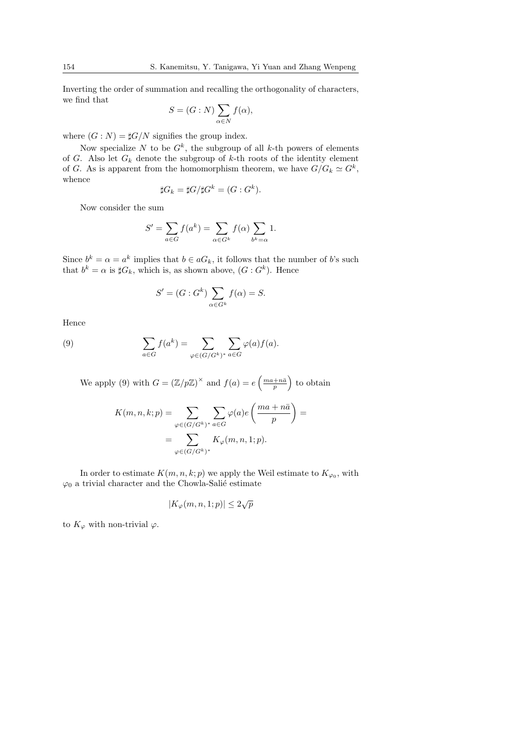Inverting the order of summation and recalling the orthogonality of characters, we find that  $\overline{\phantom{a}}$ 

$$
S = (G : N) \sum_{\alpha \in N} f(\alpha),
$$

where  $(G: N) = \sharp G/N$  signifies the group index.

Now specialize N to be  $G^k$ , the subgroup of all k-th powers of elements of G. Also let  $G_k$  denote the subgroup of k-th roots of the identity element of G. As is apparent from the homomorphism theorem, we have  $G/G_k \simeq G^k$ , whence

$$
\sharp G_k = \sharp G/\sharp G^k = (G:G^k).
$$

Now consider the sum

$$
S' = \sum_{a \in G} f(a^k) = \sum_{\alpha \in G^k} f(\alpha) \sum_{b^k = \alpha} 1.
$$

Since  $b^k = \alpha = a^k$  implies that  $b \in aG_k$ , it follows that the number of b's such that  $b^k = \alpha$  is  $\sharp G_k$ , which is, as shown above,  $(G : G^k)$ . Hence

$$
S' = (G : G^k) \sum_{\alpha \in G^k} f(\alpha) = S.
$$

Hence

(9) 
$$
\sum_{a \in G} f(a^k) = \sum_{\varphi \in (G/G^k)^*} \sum_{a \in G} \varphi(a) f(a).
$$

We apply (9) with  $G = (\mathbb{Z}/p\mathbb{Z})^{\times}$  and  $f(a) = e$  $\left(\frac{ma+n\bar{a}}{p}\right)$ ´ to obtain

$$
K(m, n, k; p) = \sum_{\varphi \in (G/G^k)^*} \sum_{a \in G} \varphi(a) e\left(\frac{ma + n\bar{a}}{p}\right) =
$$
  
= 
$$
\sum_{\varphi \in (G/G^k)^*} K_{\varphi}(m, n, 1; p).
$$

In order to estimate  $K(m, n, k; p)$  we apply the Weil estimate to  $K_{\varphi_0}$ , with  $\varphi_0$  a trivial character and the Chowla-Salié estimate

$$
|K_{\varphi}(m, n, 1; p)| \le 2\sqrt{p}
$$

to  $K_{\varphi}$  with non-trivial  $\varphi$ .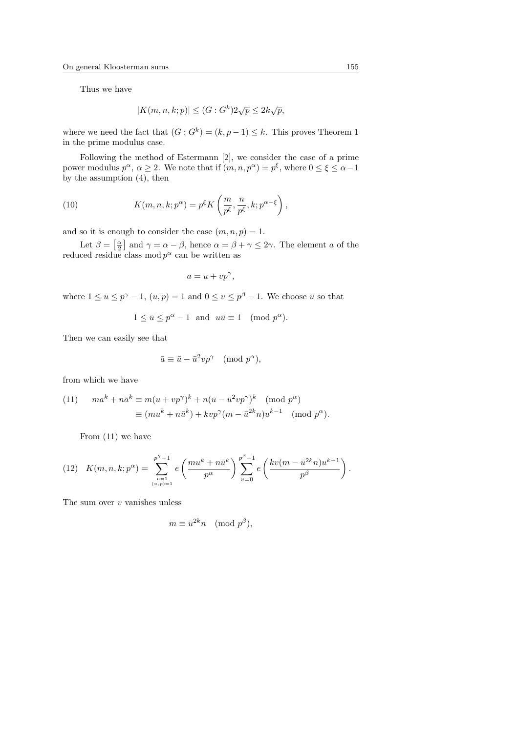Thus we have

$$
|K(m, n, k; p)| \le (G : G^k) 2\sqrt{p} \le 2k\sqrt{p},
$$

where we need the fact that  $(G: G^k) = (k, p-1) \leq k$ . This proves Theorem 1 in the prime modulus case.

Following the method of Estermann [2], we consider the case of a prime power modulus  $p^{\alpha}, \alpha \geq 2$ . We note that if  $(m, n, p^{\alpha}) = p^{\xi}$ , where  $0 \leq \xi \leq \alpha - 1$ by the assumption (4), then

(10) 
$$
K(m, n, k; p^{\alpha}) = p^{\xi} K\left(\frac{m}{p^{\xi}}, \frac{n}{p^{\xi}}, k; p^{\alpha - \xi}\right),
$$

and so it is enough to consider the case  $(m, n, p) = 1$ . ≁≀<br>ד

Let  $\beta =$  $\frac{\alpha}{2}$ and  $\gamma = \alpha - \beta$ , hence  $\alpha = \beta + \gamma \leq 2\gamma$ . The element a of the reduced residue class mod  $p^{\alpha}$  can be written as

$$
a = u + vp^{\gamma},
$$

where  $1 \le u \le p^{\gamma} - 1$ ,  $(u, p) = 1$  and  $0 \le v \le p^{\beta} - 1$ . We choose  $\bar{u}$  so that

$$
1 \le \bar{u} \le p^{\alpha} - 1
$$
 and  $u\bar{u} \equiv 1 \pmod{p^{\alpha}}$ .

Then we can easily see that

$$
\bar{a} \equiv \bar{u} - \bar{u}^2 v p^{\gamma} \pmod{p^{\alpha}},
$$

from which we have

(11) 
$$
ma^{k} + n\bar{a}^{k} \equiv m(u + vp^{\gamma})^{k} + n(\bar{u} - \bar{u}^{2}vp^{\gamma})^{k} \pmod{p^{\alpha}}
$$

$$
\equiv (mu^{k} + n\bar{u}^{k}) + kvp^{\gamma}(m - \bar{u}^{2k}n)u^{k-1} \pmod{p^{\alpha}}.
$$

From (11) we have

(12) 
$$
K(m, n, k; p^{\alpha}) = \sum_{\substack{u=1 \ (u, p)=1}}^{p^{\gamma}-1} e\left(\frac{m u^k + n \bar{u}^k}{p^{\alpha}}\right) \sum_{v=0}^{p^{\beta}-1} e\left(\frac{k v (m - \bar{u}^{2k} n) u^{k-1}}{p^{\beta}}\right).
$$

The sum over  $v$  vanishes unless

$$
m \equiv \bar{u}^{2k} n \pmod{p^{\beta}},
$$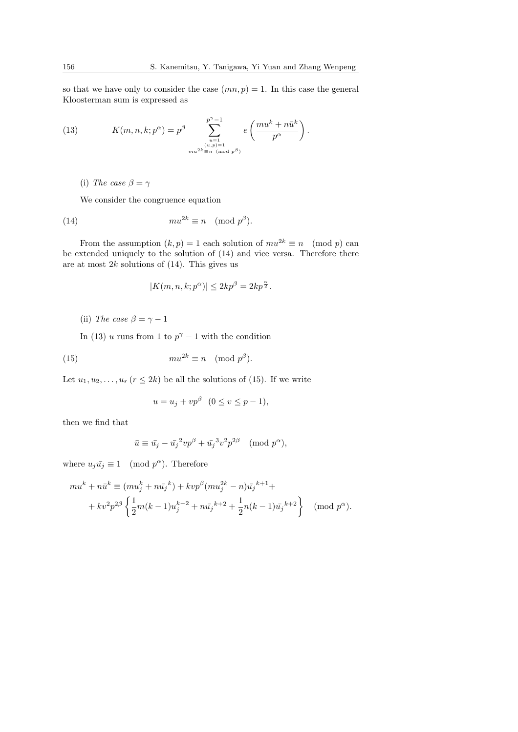so that we have only to consider the case  $(mn, p) = 1$ . In this case the general Kloosterman sum is expressed as

(13) 
$$
K(m, n, k; p^{\alpha}) = p^{\beta} \sum_{\substack{u=1 \ u,p=1 \ m u^{2k} \equiv n \pmod{p^{\beta}}}^{p^{\gamma}-1} e\left(\frac{m u^{k} + n \bar{u}^{k}}{p^{\alpha}}\right).
$$

(i) The case  $\beta = \gamma$ 

We consider the congruence equation

(14) 
$$
m u^{2k} \equiv n \pmod{p^{\beta}}.
$$

From the assumption  $(k, p) = 1$  each solution of  $mu^{2k} \equiv n \pmod{p}$  can be extended uniquely to the solution of (14) and vice versa. Therefore there are at most  $2k$  solutions of  $(14)$ . This gives us

$$
|K(m, n, k; p^{\alpha})| \le 2kp^{\beta} = 2kp^{\frac{\alpha}{2}}.
$$

(ii) The case  $\beta = \gamma - 1$ 

In (13) u runs from 1 to  $p^{\gamma}-1$  with the condition

(15) 
$$
mu^{2k} \equiv n \pmod{p^{\beta}}.
$$

Let  $u_1, u_2, \ldots, u_r$   $(r \leq 2k)$  be all the solutions of (15). If we write

$$
u = u_j + vp^{\beta} \quad (0 \le v \le p - 1),
$$

then we find that

$$
\bar{u} \equiv \bar{u_j} - \bar{u_j}^2 v p^{\beta} + \bar{u_j}^3 v^2 p^{2\beta} \pmod{p^{\alpha}},
$$

where  $u_j\bar{u}_j \equiv 1 \pmod{p^{\alpha}}$ . Therefore

$$
mu^{k} + n\bar{u}^{k} \equiv (mu_{j}^{k} + n\bar{u}_{j}^{k}) + kvp^{\beta}(mu_{j}^{2k} - n)\bar{u}_{j}^{k+1} +
$$
  
+ 
$$
kv^{2}p^{2\beta}\left\{\frac{1}{2}m(k-1)u_{j}^{k-2} + n\bar{u}_{j}^{k+2} + \frac{1}{2}n(k-1)\bar{u}_{j}^{k+2}\right\} \pmod{p^{\alpha}}.
$$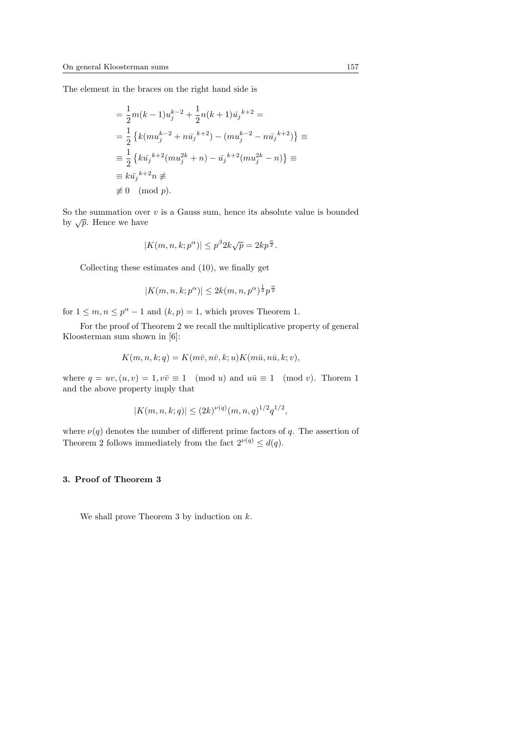The element in the braces on the right hand side is

$$
= \frac{1}{2}m(k-1)u_j^{k-2} + \frac{1}{2}n(k+1)\bar{u_j}^{k+2} =
$$
  
\n
$$
= \frac{1}{2} \left\{ k(mu_j^{k-2} + n\bar{u_j}^{k+2}) - (mu_j^{k-2} - n\bar{u_j}^{k+2}) \right\} \equiv
$$
  
\n
$$
\equiv \frac{1}{2} \left\{ k\bar{u_j}^{k+2}(mu_j^{2k} + n) - \bar{u_j}^{k+2}(mu_j^{2k} - n) \right\} \equiv
$$
  
\n
$$
\equiv k\bar{u_j}^{k+2}n \neq
$$
  
\n
$$
\neq 0 \pmod{p}.
$$

So the summation over  $v$  is a Gauss sum, hence its absolute value is bounded by  $\sqrt{p}$ . Hence we have

$$
|K(m, n, k; p^{\alpha})| \le p^{\beta} 2k\sqrt{p} = 2kp^{\frac{\alpha}{2}}.
$$

Collecting these estimates and (10), we finally get

$$
|K(m, n, k; p^{\alpha})| \leq 2k(m, n, p^{\alpha})^{\frac{1}{2}}p^{\frac{\alpha}{2}}
$$

for  $1 \leq m, n \leq p^{\alpha} - 1$  and  $(k, p) = 1$ , which proves Theorem 1.

For the proof of Theorem 2 we recall the multiplicative property of general Kloosterman sum shown in [6]:

$$
K(m, n, k; q) = K(m\overline{v}, n\overline{v}, k; u)K(m\overline{u}, n\overline{u}, k; v),
$$

where  $q = uv, (u, v) = 1, v\overline{v} \equiv 1 \pmod{u}$  and  $u\overline{u} \equiv 1 \pmod{v}$ . Thorem 1 and the above property imply that

$$
|K(m, n, k; q)| \le (2k)^{\nu(q)} (m, n, q)^{1/2} q^{1/2},
$$

where  $\nu(q)$  denotes the number of different prime factors of q. The assertion of Theorem 2 follows immediately from the fact  $2^{\nu(q)} \leq d(q)$ .

## 3. Proof of Theorem 3

We shall prove Theorem 3 by induction on  $k$ .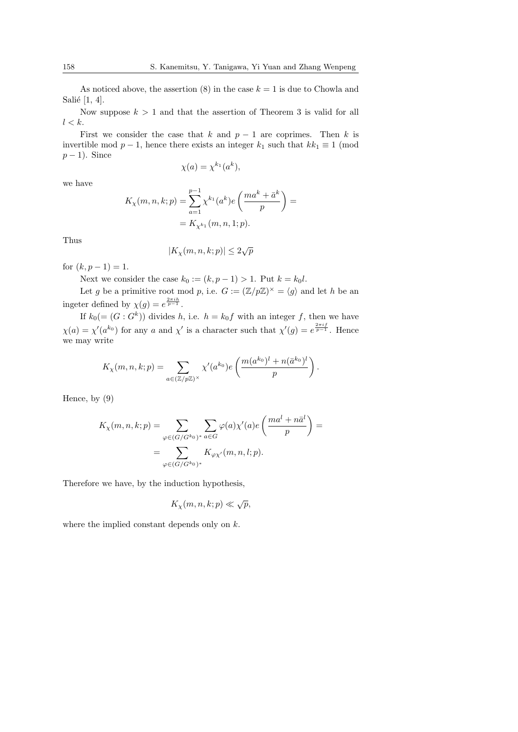As noticed above, the assertion (8) in the case  $k = 1$  is due to Chowla and Salié  $[1, 4]$ .

Now suppose  $k > 1$  and that the assertion of Theorem 3 is valid for all  $l < k$ .

First we consider the case that k and  $p-1$  are coprimes. Then k is invertible mod  $p-1$ , hence there exists an integer  $k_1$  such that  $kk_1 \equiv 1 \pmod{p-1}$  $p-1$ ). Since

$$
\chi(a) = \chi^{k_1}(a^k),
$$

we have

$$
K_{\chi}(m, n, k; p) = \sum_{a=1}^{p-1} \chi^{k_1}(a^k) e\left(\frac{ma^k + \bar{a}^k}{p}\right) =
$$
  
=  $K_{\chi^{k_1}}(m, n, 1; p).$ 

Thus

$$
|K_{\chi}(m,n,k;p)| \leq 2\sqrt{p}
$$

for  $(k, p - 1) = 1$ .

Next we consider the case  $k_0 := (k, p - 1) > 1$ . Put  $k = k_0 l$ .

Let g be a primitive root mod p, i.e.  $G := (\mathbb{Z}/p\mathbb{Z})^{\times} = \langle g \rangle$  and let h be an ingeter defined by  $\chi(g) = e^{\frac{2\pi i h}{p-1}}$ .

If  $k_0 (= (G : G^k))$  divides h, i.e.  $h = k_0 f$  with an integer f, then we have  $\chi(a) = \chi'(a^{k_0})$  for any a and  $\chi'$  is a character such that  $\chi'(g) = e^{\frac{2\pi i f}{p-1}}$ . Hence we may write

$$
K_{\chi}(m,n,k;p) = \sum_{a \in (\mathbb{Z}/p\mathbb{Z})^{\times}} \chi'(a^{k_0}) e\left(\frac{m(a^{k_0})^l + n(\bar{a}^{k_0})^l}{p}\right).
$$

Hence, by (9)

$$
K_{\chi}(m, n, k; p) = \sum_{\varphi \in (G/G^{k_0})^*} \sum_{a \in G} \varphi(a) \chi'(a) e\left(\frac{ma^l + n\bar{a}^l}{p}\right) =
$$
  
= 
$$
\sum_{\varphi \in (G/G^{k_0})^*} K_{\varphi\chi'}(m, n, l; p).
$$

Therefore we have, by the induction hypothesis,

$$
K_{\chi}(m, n, k; p) \ll \sqrt{p},
$$

where the implied constant depends only on  $k$ .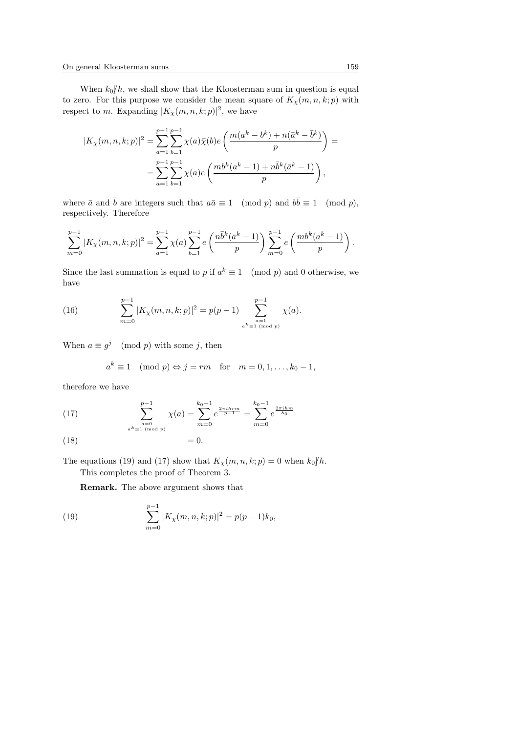When  $k_0/h$ , we shall show that the Kloosterman sum in question is equal to zero. For this purpose we consider the mean square of  $K_{\chi}(m, n, k; p)$  with respect to m. Expanding  $|K_{\chi}(m,n,k;p)|^2$ , we have

$$
|K_{\chi}(m, n, k; p)|^{2} = \sum_{a=1}^{p-1} \sum_{b=1}^{p-1} \chi(a)\bar{\chi}(b)e\left(\frac{m(a^{k} - b^{k}) + n(\bar{a}^{k} - \bar{b}^{k})}{p}\right) =
$$
  
= 
$$
\sum_{a=1}^{p-1} \sum_{b=1}^{p-1} \chi(a)e\left(\frac{mb^{k}(a^{k} - 1) + n\bar{b}^{k}(\bar{a}^{k} - 1)}{p}\right),
$$

where  $\bar{a}$  and  $\bar{b}$  are integers such that  $a\bar{a} \equiv 1 \pmod{p}$  and  $b\bar{b} \equiv 1 \pmod{p}$ , respectively. Therefore

$$
\sum_{m=0}^{p-1} |K_{\chi}(m,n,k;p)|^2 = \sum_{a=1}^{p-1} \chi(a) \sum_{b=1}^{p-1} e\left(\frac{n\bar{b}^k(\bar{a}^k-1)}{p}\right) \sum_{m=0}^{p-1} e\left(\frac{mb^k(a^k-1)}{p}\right).
$$

Since the last summation is equal to p if  $a^k \equiv 1 \pmod{p}$  and 0 otherwise, we have

(16) 
$$
\sum_{m=0}^{p-1} |K_{\chi}(m, n, k; p)|^2 = p(p-1) \sum_{\substack{a=1 \ a^{\text{all}} \mod p}}^{p-1} \chi(a).
$$

When  $a \equiv g^j \pmod{p}$  with some j, then

$$
a^k \equiv 1 \pmod{p} \Leftrightarrow j = rm \text{ for } m = 0, 1, \dots, k_0 - 1,
$$

therefore we have

(17) 
$$
\sum_{\substack{a=0 \ a \equiv 1 \pmod{p}}}^{p-1} \chi(a) = \sum_{m=0}^{k_0-1} e^{\frac{2\pi i h r m}{p-1}} = \sum_{m=0}^{k_0-1} e^{\frac{2\pi i h m}{k_0}}
$$

$$
(18) \t\t\t= 0.
$$

The equations (19) and (17) show that  $K_{\chi}(m, n, k; p) = 0$  when  $k_0/h$ . This completes the proof of Theorem 3.

Remark. The above argument shows that

(19) 
$$
\sum_{m=0}^{p-1} |K_{\chi}(m, n, k; p)|^2 = p(p-1)k_0,
$$